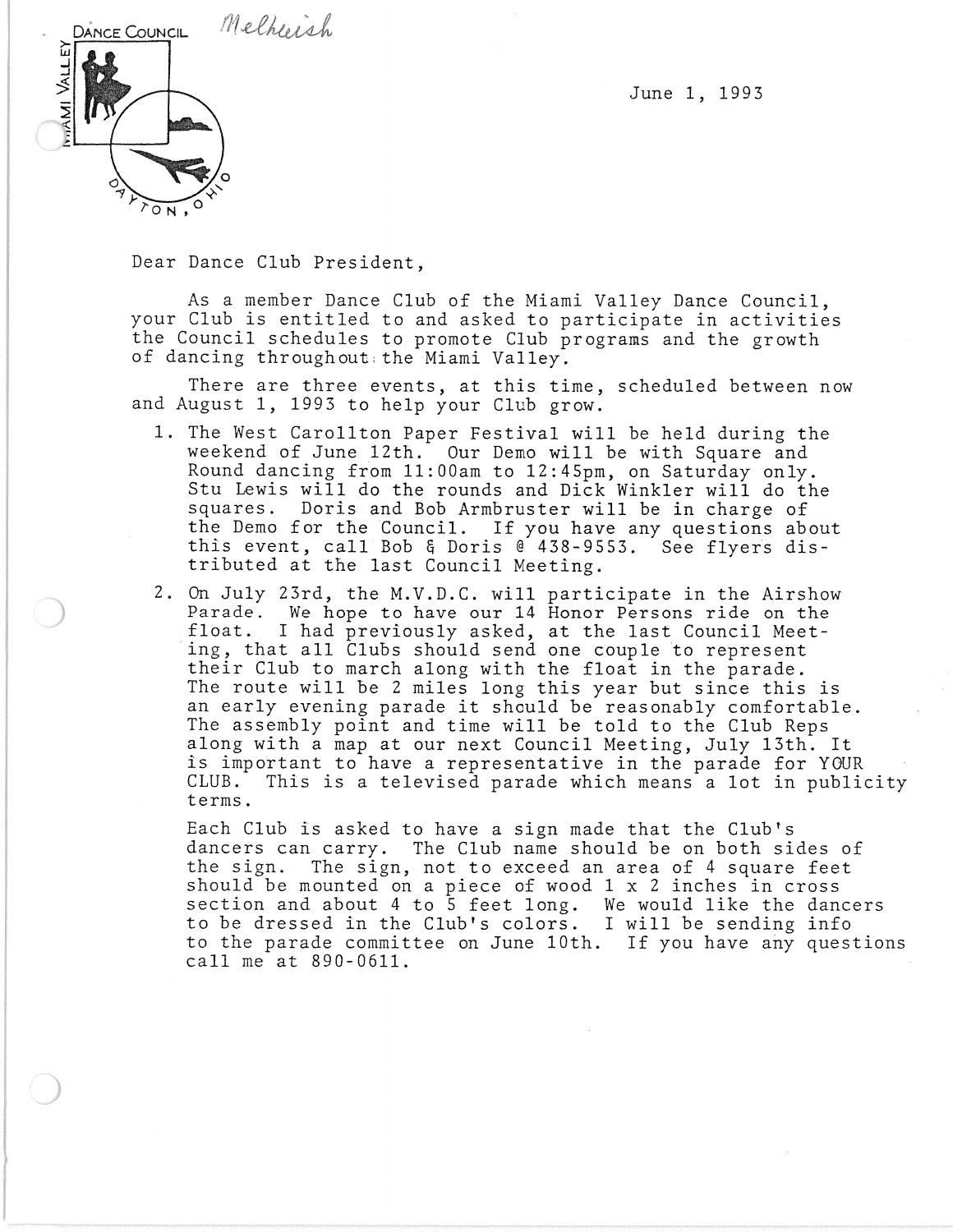June 1, 1993



Dear Dance Club President,

As a member Dance Club of the Miami Valley Dance Council, your Club is entitled to and asked to participate in activities the Council schedules to promote Club programs and the growth of dancing throughout: the Miami Valley.

There are three events, at this time, scheduled between now and August 1, 1993 to help your Club grow.

- 1. The West Carollton Paper Festival will be held during the weekend of June 12th. Our Demo will be with Square and Round dancing from 11:00am to 12:45pm, on Saturday only. Stu Lewis will do the rounds and Dick Winkler will do the squares. Doris and Bob Armbruster will be in charge of the Demo for the Council. If you have any questions about this event, call Bob & Doris @ 438-9553. See flyers distributed at the last Council Meeting.
- 2. On July 23rd, the M.V.D.C. will participate in the Airshow Parade. We hope to have our 14 Honor Persons ride on the float. I had previously asked, at the last Council Meet-I had previously asked, at the last Council Meeting, that all Clubs should send one couple to represent their Club to march along with the float in the parade. The route will be 2 miles long this year but since this is an early evening parade it should be reasonably comfortable. The assembly point and time will be told to the Club Reps along with a map at our next Council Meeting, July 13th. It is important to have a representative in the parade for YOUR CLUB. This is a televised parade which means a lot in publicity terms.

Each Club is asked to have a sign made that the Club's dancers can carry. The Club name should be on both sides of the sign. The sign, not to exceed an area of 4 square feet should be mounted on a piece of wood 1 x 2 inches in cross section and about 4 to 5 feet long. We would like the dancers to be dressed in the Club's colors. I will be sending info to the parade committee on June 10th. If you have any questions call me at 890-0611.